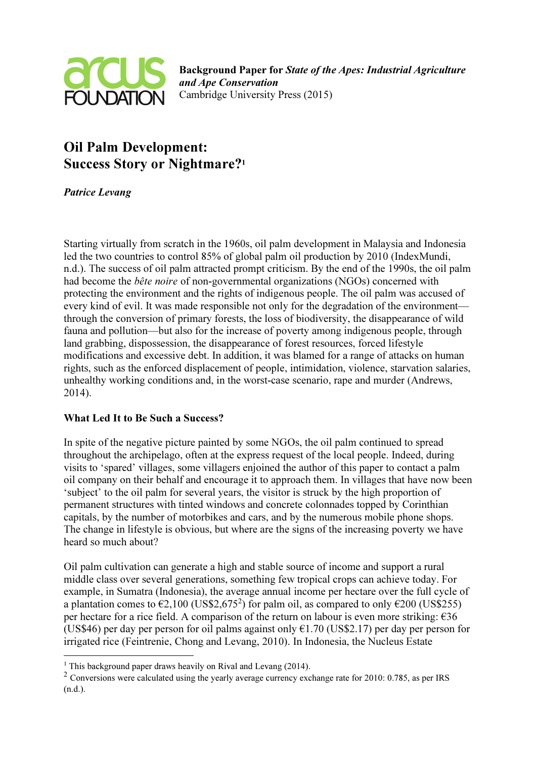

Background Paper for State of the Apes: Industrial Agriculture and Ape Conservation Cambridge University Press (2015)

# Oil Palm Development: Success Story or Nightmare?<sup>1</sup>

## Patrice Levang

Starting virtually from scratch in the 1960s, oil palm development in Malaysia and Indonesia led the two countries to control 85% of global palm oil production by 2010 (IndexMundi, n.d.). The success of oil palm attracted prompt criticism. By the end of the 1990s, the oil palm had become the bête noire of non-governmental organizations (NGOs) concerned with protecting the environment and the rights of indigenous people. The oil palm was accused of every kind of evil. It was made responsible not only for the degradation of the environment through the conversion of primary forests, the loss of biodiversity, the disappearance of wild fauna and pollution—but also for the increase of poverty among indigenous people, through land grabbing, dispossession, the disappearance of forest resources, forced lifestyle modifications and excessive debt. In addition, it was blamed for a range of attacks on human rights, such as the enforced displacement of people, intimidation, violence, starvation salaries, unhealthy working conditions and, in the worst-case scenario, rape and murder (Andrews, 2014).

### What Led It to Be Such a Success?

In spite of the negative picture painted by some NGOs, the oil palm continued to spread throughout the archipelago, often at the express request of the local people. Indeed, during visits to 'spared' villages, some villagers enjoined the author of this paper to contact a palm oil company on their behalf and encourage it to approach them. In villages that have now been 'subject' to the oil palm for several years, the visitor is struck by the high proportion of permanent structures with tinted windows and concrete colonnades topped by Corinthian capitals, by the number of motorbikes and cars, and by the numerous mobile phone shops. The change in lifestyle is obvious, but where are the signs of the increasing poverty we have heard so much about?

Oil palm cultivation can generate a high and stable source of income and support a rural middle class over several generations, something few tropical crops can achieve today. For example, in Sumatra (Indonesia), the average annual income per hectare over the full cycle of a plantation comes to  $\epsilon$ 2,100 (US\$2,675<sup>2</sup>) for palm oil, as compared to only  $\epsilon$ 200 (US\$255) per hectare for a rice field. A comparison of the return on labour is even more striking:  $\epsilon$ 36 (US\$46) per day per person for oil palms against only  $\epsilon$ 1.70 (US\$2.17) per day per person for irrigated rice (Feintrenie, Chong and Levang, 2010). In Indonesia, the Nucleus Estate

 1 This background paper draws heavily on Rival and Levang (2014).

<sup>&</sup>lt;sup>2</sup> Conversions were calculated using the yearly average currency exchange rate for 2010: 0.785, as per IRS (n.d.).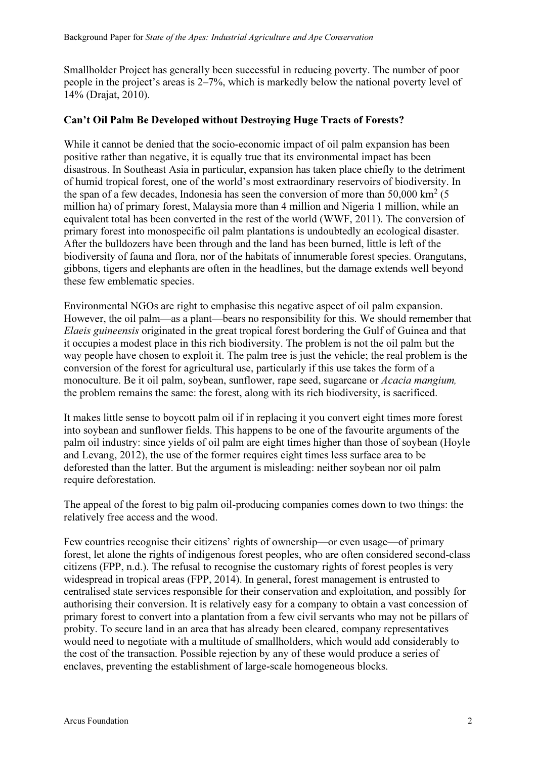Smallholder Project has generally been successful in reducing poverty. The number of poor people in the project's areas is 2–7%, which is markedly below the national poverty level of 14% (Drajat, 2010).

### Can't Oil Palm Be Developed without Destroying Huge Tracts of Forests?

While it cannot be denied that the socio-economic impact of oil palm expansion has been positive rather than negative, it is equally true that its environmental impact has been disastrous. In Southeast Asia in particular, expansion has taken place chiefly to the detriment of humid tropical forest, one of the world's most extraordinary reservoirs of biodiversity. In the span of a few decades, Indonesia has seen the conversion of more than  $50,000 \text{ km}^2$  (5) million ha) of primary forest, Malaysia more than 4 million and Nigeria 1 million, while an equivalent total has been converted in the rest of the world (WWF, 2011). The conversion of primary forest into monospecific oil palm plantations is undoubtedly an ecological disaster. After the bulldozers have been through and the land has been burned, little is left of the biodiversity of fauna and flora, nor of the habitats of innumerable forest species. Orangutans, gibbons, tigers and elephants are often in the headlines, but the damage extends well beyond these few emblematic species.

Environmental NGOs are right to emphasise this negative aspect of oil palm expansion. However, the oil palm—as a plant—bears no responsibility for this. We should remember that Elaeis guineensis originated in the great tropical forest bordering the Gulf of Guinea and that it occupies a modest place in this rich biodiversity. The problem is not the oil palm but the way people have chosen to exploit it. The palm tree is just the vehicle; the real problem is the conversion of the forest for agricultural use, particularly if this use takes the form of a monoculture. Be it oil palm, soybean, sunflower, rape seed, sugarcane or Acacia mangium, the problem remains the same: the forest, along with its rich biodiversity, is sacrificed.

It makes little sense to boycott palm oil if in replacing it you convert eight times more forest into soybean and sunflower fields. This happens to be one of the favourite arguments of the palm oil industry: since yields of oil palm are eight times higher than those of soybean (Hoyle and Levang, 2012), the use of the former requires eight times less surface area to be deforested than the latter. But the argument is misleading: neither soybean nor oil palm require deforestation.

The appeal of the forest to big palm oil-producing companies comes down to two things: the relatively free access and the wood.

Few countries recognise their citizens' rights of ownership—or even usage—of primary forest, let alone the rights of indigenous forest peoples, who are often considered second-class citizens (FPP, n.d.). The refusal to recognise the customary rights of forest peoples is very widespread in tropical areas (FPP, 2014). In general, forest management is entrusted to centralised state services responsible for their conservation and exploitation, and possibly for authorising their conversion. It is relatively easy for a company to obtain a vast concession of primary forest to convert into a plantation from a few civil servants who may not be pillars of probity. To secure land in an area that has already been cleared, company representatives would need to negotiate with a multitude of smallholders, which would add considerably to the cost of the transaction. Possible rejection by any of these would produce a series of enclaves, preventing the establishment of large-scale homogeneous blocks.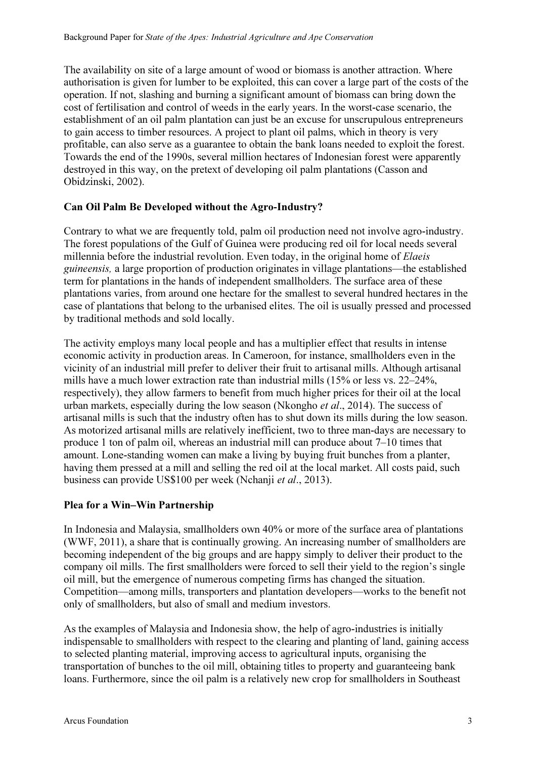The availability on site of a large amount of wood or biomass is another attraction. Where authorisation is given for lumber to be exploited, this can cover a large part of the costs of the operation. If not, slashing and burning a significant amount of biomass can bring down the cost of fertilisation and control of weeds in the early years. In the worst-case scenario, the establishment of an oil palm plantation can just be an excuse for unscrupulous entrepreneurs to gain access to timber resources. A project to plant oil palms, which in theory is very profitable, can also serve as a guarantee to obtain the bank loans needed to exploit the forest. Towards the end of the 1990s, several million hectares of Indonesian forest were apparently destroyed in this way, on the pretext of developing oil palm plantations (Casson and Obidzinski, 2002).

## Can Oil Palm Be Developed without the Agro-Industry?

Contrary to what we are frequently told, palm oil production need not involve agro-industry. The forest populations of the Gulf of Guinea were producing red oil for local needs several millennia before the industrial revolution. Even today, in the original home of Elaeis guineensis, a large proportion of production originates in village plantations—the established term for plantations in the hands of independent smallholders. The surface area of these plantations varies, from around one hectare for the smallest to several hundred hectares in the case of plantations that belong to the urbanised elites. The oil is usually pressed and processed by traditional methods and sold locally.

The activity employs many local people and has a multiplier effect that results in intense economic activity in production areas. In Cameroon, for instance, smallholders even in the vicinity of an industrial mill prefer to deliver their fruit to artisanal mills. Although artisanal mills have a much lower extraction rate than industrial mills (15% or less vs. 22–24%, respectively), they allow farmers to benefit from much higher prices for their oil at the local urban markets, especially during the low season (Nkongho et al., 2014). The success of artisanal mills is such that the industry often has to shut down its mills during the low season. As motorized artisanal mills are relatively inefficient, two to three man-days are necessary to produce 1 ton of palm oil, whereas an industrial mill can produce about 7–10 times that amount. Lone-standing women can make a living by buying fruit bunches from a planter, having them pressed at a mill and selling the red oil at the local market. All costs paid, such business can provide US\$100 per week (Nchanji et al., 2013).

## Plea for a Win–Win Partnership

In Indonesia and Malaysia, smallholders own 40% or more of the surface area of plantations (WWF, 2011), a share that is continually growing. An increasing number of smallholders are becoming independent of the big groups and are happy simply to deliver their product to the company oil mills. The first smallholders were forced to sell their yield to the region's single oil mill, but the emergence of numerous competing firms has changed the situation. Competition—among mills, transporters and plantation developers—works to the benefit not only of smallholders, but also of small and medium investors.

As the examples of Malaysia and Indonesia show, the help of agro-industries is initially indispensable to smallholders with respect to the clearing and planting of land, gaining access to selected planting material, improving access to agricultural inputs, organising the transportation of bunches to the oil mill, obtaining titles to property and guaranteeing bank loans. Furthermore, since the oil palm is a relatively new crop for smallholders in Southeast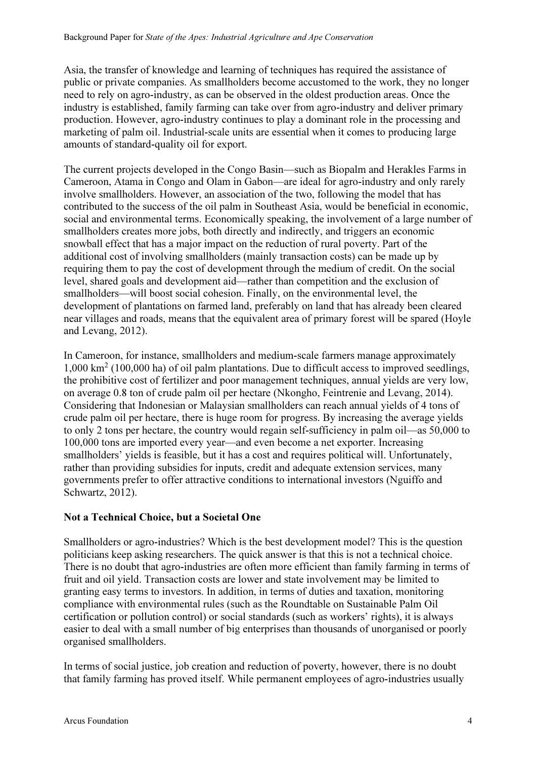Asia, the transfer of knowledge and learning of techniques has required the assistance of public or private companies. As smallholders become accustomed to the work, they no longer need to rely on agro-industry, as can be observed in the oldest production areas. Once the industry is established, family farming can take over from agro-industry and deliver primary production. However, agro-industry continues to play a dominant role in the processing and marketing of palm oil. Industrial-scale units are essential when it comes to producing large amounts of standard-quality oil for export.

The current projects developed in the Congo Basin—such as Biopalm and Herakles Farms in Cameroon, Atama in Congo and Olam in Gabon—are ideal for agro-industry and only rarely involve smallholders. However, an association of the two, following the model that has contributed to the success of the oil palm in Southeast Asia, would be beneficial in economic, social and environmental terms. Economically speaking, the involvement of a large number of smallholders creates more jobs, both directly and indirectly, and triggers an economic snowball effect that has a major impact on the reduction of rural poverty. Part of the additional cost of involving smallholders (mainly transaction costs) can be made up by requiring them to pay the cost of development through the medium of credit. On the social level, shared goals and development aid—rather than competition and the exclusion of smallholders—will boost social cohesion. Finally, on the environmental level, the development of plantations on farmed land, preferably on land that has already been cleared near villages and roads, means that the equivalent area of primary forest will be spared (Hoyle and Levang, 2012).

In Cameroon, for instance, smallholders and medium-scale farmers manage approximately 1,000 km<sup>2</sup> (100,000 ha) of oil palm plantations. Due to difficult access to improved seedlings, the prohibitive cost of fertilizer and poor management techniques, annual yields are very low, on average 0.8 ton of crude palm oil per hectare (Nkongho, Feintrenie and Levang, 2014). Considering that Indonesian or Malaysian smallholders can reach annual yields of 4 tons of crude palm oil per hectare, there is huge room for progress. By increasing the average yields to only 2 tons per hectare, the country would regain self-sufficiency in palm oil—as 50,000 to 100,000 tons are imported every year—and even become a net exporter. Increasing smallholders' yields is feasible, but it has a cost and requires political will. Unfortunately, rather than providing subsidies for inputs, credit and adequate extension services, many governments prefer to offer attractive conditions to international investors (Nguiffo and Schwartz, 2012).

## Not a Technical Choice, but a Societal One

Smallholders or agro-industries? Which is the best development model? This is the question politicians keep asking researchers. The quick answer is that this is not a technical choice. There is no doubt that agro-industries are often more efficient than family farming in terms of fruit and oil yield. Transaction costs are lower and state involvement may be limited to granting easy terms to investors. In addition, in terms of duties and taxation, monitoring compliance with environmental rules (such as the Roundtable on Sustainable Palm Oil certification or pollution control) or social standards (such as workers' rights), it is always easier to deal with a small number of big enterprises than thousands of unorganised or poorly organised smallholders.

In terms of social justice, job creation and reduction of poverty, however, there is no doubt that family farming has proved itself. While permanent employees of agro-industries usually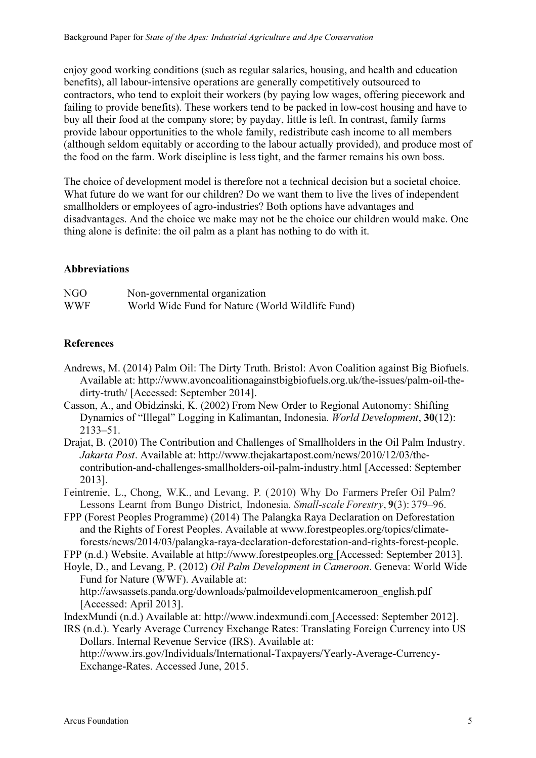enjoy good working conditions (such as regular salaries, housing, and health and education benefits), all labour-intensive operations are generally competitively outsourced to contractors, who tend to exploit their workers (by paying low wages, offering piecework and failing to provide benefits). These workers tend to be packed in low-cost housing and have to buy all their food at the company store; by payday, little is left. In contrast, family farms provide labour opportunities to the whole family, redistribute cash income to all members (although seldom equitably or according to the labour actually provided), and produce most of the food on the farm. Work discipline is less tight, and the farmer remains his own boss.

The choice of development model is therefore not a technical decision but a societal choice. What future do we want for our children? Do we want them to live the lives of independent smallholders or employees of agro-industries? Both options have advantages and disadvantages. And the choice we make may not be the choice our children would make. One thing alone is definite: the oil palm as a plant has nothing to do with it.

### Abbreviations

| NGO        | Non-governmental organization                    |
|------------|--------------------------------------------------|
| <b>WWF</b> | World Wide Fund for Nature (World Wildlife Fund) |

### References

- Andrews, M. (2014) Palm Oil: The Dirty Truth. Bristol: Avon Coalition against Big Biofuels. Available at: http://www.avoncoalitionagainstbigbiofuels.org.uk/the-issues/palm-oil-thedirty-truth/ [Accessed: September 2014].
- Casson, A., and Obidzinski, K. (2002) From New Order to Regional Autonomy: Shifting Dynamics of "Illegal" Logging in Kalimantan, Indonesia. World Development, 30(12): 2133–51.
- Drajat, B. (2010) The Contribution and Challenges of Smallholders in the Oil Palm Industry. Jakarta Post. Available at: http://www.thejakartapost.com/news/2010/12/03/thecontribution-and-challenges-smallholders-oil-palm-industry.html [Accessed: September 2013].
- Feintrenie, L., Chong, W.K., and Levang, P. ( 2010) Why Do Farmers Prefer Oil Palm? Lessons Learnt from Bungo District, Indonesia. Small-scale Forestry, 9(3): 379–96.
- FPP (Forest Peoples Programme) (2014) The Palangka Raya Declaration on Deforestation and the Rights of Forest Peoples. Available at www.forestpeoples.org/topics/climateforests/news/2014/03/palangka-raya-declaration-deforestation-and-rights-forest-people.
- FPP (n.d.) Website. Available at http://www.forestpeoples.org [Accessed: September 2013].
- Hoyle, D., and Levang, P. (2012) Oil Palm Development in Cameroon. Geneva: World Wide Fund for Nature (WWF). Available at:
	- http://awsassets.panda.org/downloads/palmoildevelopmentcameroon\_english.pdf [Accessed: April 2013].
- IndexMundi (n.d.) Available at: http://www.indexmundi.com [Accessed: September 2012].
- IRS (n.d.). Yearly Average Currency Exchange Rates: Translating Foreign Currency into US Dollars. Internal Revenue Service (IRS). Available at:

http://www.irs.gov/Individuals/International-Taxpayers/Yearly-Average-Currency-Exchange-Rates. Accessed June, 2015.